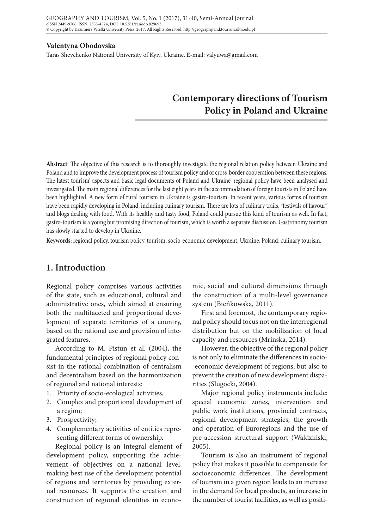#### **Valentyna Obodovska**

Taras Shevchenko National University of Kyiv, Ukraine. E-mail: valyuwa@gmail.com

# **Contemporary directions of Tourism Policy in Poland and Ukraine**

**Abstract**: The objective of this research is to thoroughly investigate the regional relation policy between Ukraine and Poland and to improve the development process of tourism policy and of cross-border cooperation between these regions. The latest tourism' aspects and basic legal documents of Poland and Ukraine' regional policy have been analysed and investigated. The main regional differences for the last eight years in the accommodation of foreign tourists in Poland have been highlighted. A new form of rural tourism in Ukraine is gastro-tourism. In recent years, various forms of tourism have been rapidly developing in Poland, including culinary tourism. There are lots of culinary trails, "festivals of flavour" and blogs dealing with food. With its healthy and tasty food, Poland could pursue this kind of tourism as well. In fact, gastro-tourism is a young but promising direction of tourism, which is worth a separate discussion. Gastronomy tourism has slowly started to develop in Ukraine.

**Keywords**: regional policy, tourism policy, tourism, socio-economic development, Ukraine, Poland, culinary tourism.

## **1. Introduction**

Regional policy comprises various activities of the state, such as educational, cultural and administrative ones, which aimed at ensuring both the multifaceted and proportional development of separate territories of a country, based on the rational use and provision of integrated features.

According to M. Pistun et al. (2004), the fundamental principles of regional policy consist in the rational combination of centralism and decentralism based on the harmonization of regional and national interests:

- 1. Priority of socio-ecological activities,
- 2. Complex and proportional development of a region;
- 3. Prospectivity;
- 4. Complementary activities of entities representing different forms of ownership.

Regional policy is an integral element of development policy, supporting the achievement of objectives on a national level, making best use of the development potential of regions and territories by providing external resources. It supports the creation and construction of regional identities in economic, social and cultural dimensions through the construction of a multi-level governance system (Bieńkowska, 2011).

First and foremost, the contemporary regional policy should focus not on the interregional distribution but on the mobilization of local capacity and resources (Mrinska, 2014).

However, the objective of the regional policy is not only to eliminate the differences in socio- -economic development of regions, but also to prevent the creation of new development disparities (Sługocki, 2004).

Major regional policy instruments include: special economic zones, intervention and public work institutions, provincial contracts, regional development strategies, the growth and operation of Euroregions and the use of pre-accession structural support (Waldziński, 2005).

Tourism is also an instrument of regional policy that makes it possible to compensate for socioeconomic differences. The development of tourism in a given region leads to an increase in the demand for local products, an increase in the number of tourist facilities, as well as positi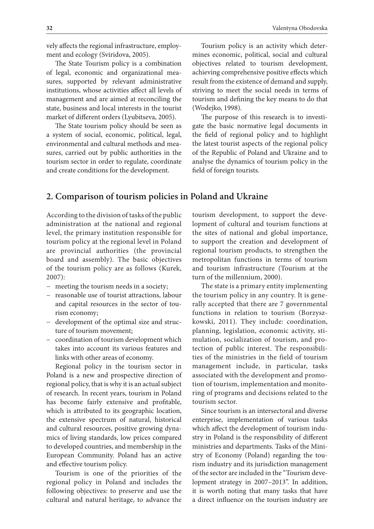vely affects the regional infrastructure, employment and ecology (Sviridova, 2005).

The State Tourism policy is a combination of legal, economic and organizational measures, supported by relevant administrative institutions, whose activities affect all levels of management and are aimed at reconciling the state, business and local interests in the tourist market of different orders (Lyubitseva, 2005).

The State tourism policy should be seen as a system of social, economic, political, legal, environmental and cultural methods and measures, carried out by public authorities in the tourism sector in order to regulate, coordinate and create conditions for the development.

Tourism policy is an activity which determines economic, political, social and cultural objectives related to tourism development, achieving comprehensive positive effects which result from the existence of demand and supply, striving to meet the social needs in terms of tourism and defining the key means to do that (Wodejko, 1998).

The purpose of this research is to investigate the basic normative legal documents in the field of regional policy and to highlight the latest tourist aspects of the regional policy of the Republic of Poland and Ukraine and to analyse the dynamics of tourism policy in the field of foreign tourists.

# **2. Comparison of tourism policies in Poland and Ukraine**

According to the division of tasks of the public administration at the national and regional level, the primary institution responsible for tourism policy at the regional level in Poland are provincial authorities (the provincial board and assembly). The basic objectives of the tourism policy are as follows (Kurek, 2007):

- − meeting the tourism needs in a society;
- − reasonable use of tourist attractions, labour and capital resources in the sector of tourism economy;
- − development of the optimal size and structure of tourism movement;
- − coordination of tourism development which takes into account its various features and links with other areas of economy.

Regional policy in the tourism sector in Poland is a new and prospective direction of regional policy, that is why it is an actual subject of research. In recent years, tourism in Poland has become fairly extensive and profitable, which is attributed to its geographic location, the extensive spectrum of natural, historical and cultural resources, positive growing dynamics of living standards, low prices compared to developed countries, and membership in the European Community. Poland has an active and effective tourism policy.

Tourism is one of the priorities of the regional policy in Poland and includes the following objectives: to preserve and use the cultural and natural heritage, to advance the

tourism development, to support the development of cultural and tourism functions at the sites of national and global importance, to support the creation and development of regional tourism products, to strengthen the metropolitan functions in terms of tourism and tourism infrastructure (Tourism at the turn of the millennium, 2000).

The state is a primary entity implementing the tourism policy in any country. It is generally accepted that there are 7 governmental functions in relation to tourism (Borzyszkowski, 2011). They include: coordination, planning, legislation, economic activity, stimulation, socialization of tourism, and protection of public interest. The responsibilities of the ministries in the field of tourism management include, in particular, tasks associated with the development and promotion of tourism, implementation and monitoring of programs and decisions related to the tourism sector.

Since tourism is an intersectoral and diverse enterprise, implementation of various tasks which affect the development of tourism industry in Poland is the responsibility of different ministries and departments. Tasks of the Ministry of Economy (Poland) regarding the tourism industry and its jurisdiction management of the sector are included in the "Tourism development strategy in 2007–2013". In addition, it is worth noting that many tasks that have a direct influence on the tourism industry are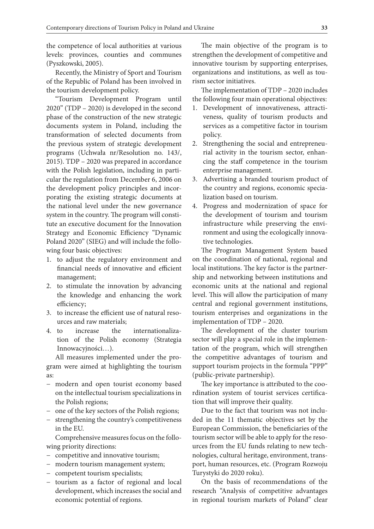the competence of local authorities at various levels: provinces, counties and communes (Pyszkowski, 2005).

Recently, the Ministry of Sport and Tourism of the Republic of Poland has been involved in the tourism development policy.

"Tourism Development Program until 2020" (TDP – 2020) is developed in the second phase of the construction of the new strategic documents system in Poland, including the transformation of selected documents from the previous system of strategic development programs (Uchwała nr/Resolution no. 143/, 2015). TDP – 2020 was prepared in accordance with the Polish legislation, including in particular the regulation from December 6, 2006 on the development policy principles and incorporating the existing strategic documents at the national level under the new governance system in the country. The program will constitute an executive document for the Innovation Strategy and Economic Efficiency "Dynamic Poland 2020" (SIEG) and will include the following four basic objectives:

- 1. to adjust the regulatory environment and financial needs of innovative and efficient management;
- 2. to stimulate the innovation by advancing the knowledge and enhancing the work efficiency;
- 3. to increase the efficient use of natural resources and raw materials;
- 4. to increase the internationalization of the Polish economy (Strategiа Innowacyjności…).

All measures implemented under the program were aimed at highlighting the tourism as:

- − modern and open tourist economy based on the intellectual tourism specializations in the Polish regions;
- − one of the key sectors of the Polish regions;
- − strengthening the country's competitiveness in the EU.

Comprehensive measures focus on the following priority directions:

- − competitive and innovative tourism;
- − modern tourism management system;
- − competent tourism specialists;
- − tourism as a factor of regional and local development, which increases the social and economic potential of regions.

The main objective of the program is to strengthen the development of competitive and innovative tourism by supporting enterprises, organizations and institutions, as well as tourism sector initiatives.

The implementation of TDP – 2020 includes the following four main operational objectives:

- 1. Development of innovativeness, attractiveness, quality of tourism products and services as a competitive factor in tourism policy.
- 2. Strengthening the social and entrepreneurial activity in the tourism sector, enhancing the staff competence in the tourism enterprise management.
- 3. Advertising a branded tourism product of the country and regions, economic specialization based on tourism.
- 4. Progress and modernization of space for the development of tourism and tourism infrastructure while preserving the environment and using the ecologically innovative technologies.

The Program Management System based on the coordination of national, regional and local institutions. The key factor is the partnership and networking between institutions and economic units at the national and regional level. This will allow the participation of many central and regional government institutions, tourism enterprises and organizations in the implementation of TDP – 2020.

The development of the cluster tourism sector will play a special role in the implementation of the program, which will strengthen the competitive advantages of tourism and support tourism projects in the formula "PPP" (public-private partnership).

The key importance is attributed to the coordination system of tourist services certification that will improve their quality.

Due to the fact that tourism was not included in the 11 thematic objectives set by the European Commission, the beneficiaries of the tourism sector will be able to apply for the resources from the EU funds relating to new technologies, cultural heritage, environment, transport, human resources, etc. (Program Rozwoju Turystyki do 2020 roku).

On the basis of recommendations of the research "Analysis of competitive advantages in regional tourism markets of Poland" clear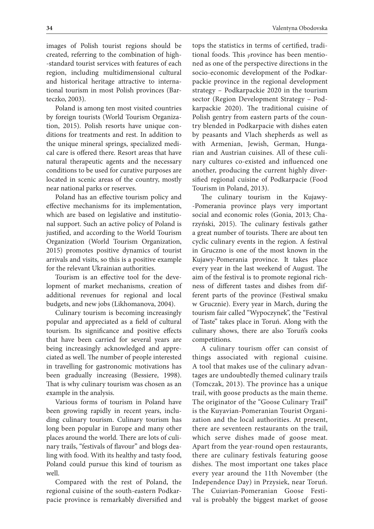images of Polish tourist regions should be created, referring to the combination of high- -standard tourist services with features of each region, including multidimensional cultural and historical heritage attractive to international tourism in most Polish provinces (Barteczko, 2003).

Poland is among ten most visited countries by foreign tourists (World Tourism Organization, 2015). Polish resorts have unique conditions for treatments and rest. In addition to the unique mineral springs, specialized medical care is offered there. Resort areas that have natural therapeutic agents and the necessary conditions to be used for curative purposes are located in scenic areas of the country, mostly near national parks or reserves.

Poland has an effective tourism policy and effective mechanisms for its implementation, which are based on legislative and institutional support. Such an active policy of Poland is justified, and according to the World Tourism Organization (World Tourism Organization, 2015) promotes positive dynamics of tourist arrivals and visits, so this is a positive example for the relevant Ukrainian authorities.

Tourism is an effective tool for the development of market mechanisms, creation of additional revenues for regional and local budgets, and new jobs (Likhomanova, 2004).

Culinary tourism is becoming increasingly popular and appreciated as a field of cultural tourism. Its significance and positive effects that have been carried for several years are being increasingly acknowledged and appreciated as well. The number of people interested in travelling for gastronomic motivations has been gradually increasing (Bessiere, 1998). That is why culinary tourism was chosen as an example in the analysis.

Various forms of tourism in Poland have been growing rapidly in recent years, including culinary tourism. Culinary tourism has long been popular in Europe and many other places around the world. There are lots of culinary trails, "festivals of flavour" and blogs dealing with food. With its healthy and tasty food, Poland could pursue this kind of tourism as well.

Compared with the rest of Poland, the regional cuisine of the south-eastern Podkarpacie province is remarkably diversified and tops the statistics in terms of certified, traditional foods. This province has been mentioned as one of the perspective directions in the socio-economic development of the Podkarpackie province in the regional development strategy – Podkarpackie 2020 in the tourism sector (Region Development Strategy – Podkarpackie 2020). The traditional cuisine of Polish gentry from eastern parts of the country blended in Podkarpacie with dishes eaten by peasants and Vlach shepherds as well as with Armenian, Jewish, German, Hungarian and Austrian cuisines. All of these culinary cultures co-existed and influenced one another, producing the current highly diversified regional cuisine of Podkarpacie (Food Tourism in Poland, 2013).

The culinary tourism in the Kujawy- -Pomerania province plays very important social and economic roles (Gonia, 2013; Charzyński, 2015). The culinary festivals gather a great number of tourists. There are about ten cyclic culinary events in the region. A festival in Gruczno is one of the most known in the Kujawy-Pomerania province. It takes place every year in the last weekend of August. The aim of the festival is to promote regional richness of different tastes and dishes from different parts of the province (Festiwal smaku w Grucznie). Every year in March, during the tourism fair called "Wypoczynek", the "Festival of Taste" takes place in Toruń. Along with the culinary shows, there are also Toruń's cooks competitions.

A culinary tourism offer can consist of things associated with regional cuisine. A tool that makes use of the culinary advantages are undoubtedly themed culinary trails (Tomczak, 2013). The province has a unique trail, with goose products as the main theme. The originator of the "Goose Culinary Trail" is the Kuyavian-Pomeranian Tourist Organization and the local authorities. At present, there are seventeen restaurants on the trail, which serve dishes made of goose meat. Apart from the year-round open restaurants, there are culinary festivals featuring goose dishes. The most important one takes place every year around the 11th November (the Independence Day) in Przysiek, near Toruń. The Cuiavian-Pomeranian Goose Festival is probably the biggest market of goose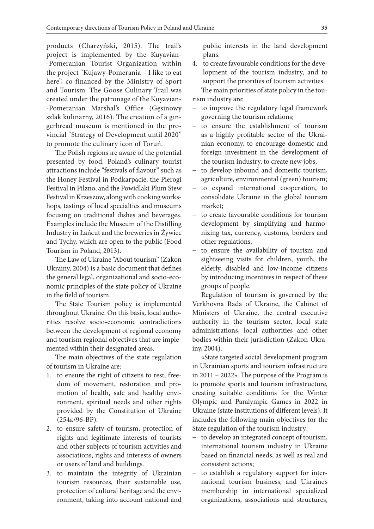products (Charzyński, 2015). The trail's project is implemented by the Kuyavian- -Pomeranian Tourist Organization within the project "Kujawy-Pomerania – I like to eat here", co-financed by the Ministry of Sport and Tourism. The Goose Culinary Trail was created under the patronage of the Kuyavian- -Pomeranian Marshal's Office (Gęsinowy szlak kulinarny, 2016). The creation of a gingerbread museum is mentioned in the provincial "Strategy of Development until 2020" to promote the culinary icon of Toruń.

The Polish regions are aware of the potential presented by food. Poland's culinary tourist attractions include "festivals of flavour" such as the Honey Festival in Podkarpacie, the Pierogi Festival in Pilzno, and the Powidlaki Plum Stew Festival in Krzeszow, along with cooking workshops, tastings of local specialties and museums focusing on traditional dishes and beverages. Examples include the Museum of the Distilling Industry in Łańcut and the breweries in Żywiec and Tychy, which are open to the public (Food Tourism in Poland, 2013).

The Law of Ukraine "About tourism" (Zakon Ukrainy, 2004) is a basic document that defines the general legal, organizational and socio-economic principles of the state policy of Ukraine in the field of tourism.

The State Tourism policy is implemented throughout Ukraine. On this basis, local authorities resolve socio-economic contradictions between the development of regional economy and tourism regional objectives that are implemented within their designated areas.

The main objectives of the state regulation of tourism in Ukraine are:

- 1. to ensure the right of citizens to rest, freedom of movement, restoration and promotion of health, safe and healthy environment, spiritual needs and other rights provided by the Constitution of Ukraine (254к/96-ВР).
- 2. to ensure safety of tourism, protection of rights and legitimate interests of tourists and other subjects of tourism activities and associations, rights and interests of owners or users of land and buildings.
- 3. to maintain the integrity of Ukrainian tourism resources, their sustainable use, protection of cultural heritage and the environment, taking into account national and

public interests in the land development plans.

4. to create favourable conditions for the development of the tourism industry, and to support the priorities of tourism activities. The main priorities of state policy in the tou-

rism industry are:

- − to improve the regulatory legal framework governing the tourism relations;
- to ensure the establishment of tourism as a highly profitable sector of the Ukrainian economy, to encourage domestic and foreign investment in the development of the tourism industry, to create new jobs;
- − to develop inbound and domestic tourism, agriculture, environmental (green) tourism;
- to expand international cooperation, to consolidate Ukraine in the global tourism market;
- − to create favourable conditions for tourism development by simplifying and harmonizing tax, currency, customs, borders and other regulations;
- to ensure the availability of tourism and sightseeing visits for children, youth, the elderly, disabled and low-income citizens by introducing incentives in respect of these groups of people.

Regulation of tourism is governed by the Verkhovna Rada of Ukraine, the Cabinet of Ministers of Ukraine, the central executive authority in the tourism sector, local state administrations, local authorities and other bodies within their jurisdiction (Zakon Ukrainy, 2004).

«State targeted social development program in Ukrainian sports and tourism infrastructure in 2011 – 2022». The purpose of the Program is to promote sports and tourism infrastructure, creating suitable conditions for the Winter Olympic and Paralympic Games in 2022 in Ukraine (state institutions of different levels). It includes the following main objectives for the State regulation of the tourism industry:

- − to develop an integrated concept of tourism, international tourism industry in Ukraine based on financial needs, as well as real and consistent actions;
- to establish a regulatory support for international tourism business, and Ukraine's membership in international specialized organizations, associations and structures,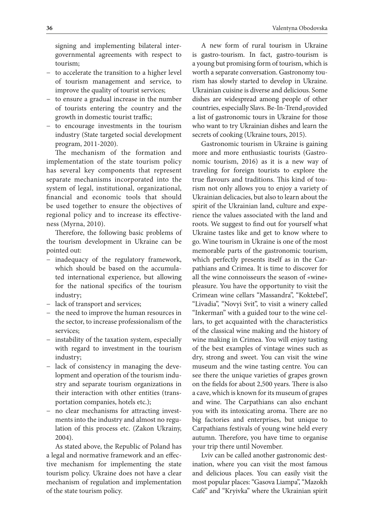signing and implementing bilateral intergovernmental agreements with respect to tourism;

- − to accelerate the transition to a higher level of tourism management and service, to improve the quality of tourist services;
- − to ensure a gradual increase in the number of tourists entering the country and the growth in domestic tourist traffic;
- − to encourage investments in the tourism industry (State targeted social development program, 2011-2020).

The mechanism of the formation and implementation of the state tourism policy has several key components that represent separate mechanisms incorporated into the system of legal, institutional, organizational, financial and economic tools that should be used together to ensure the objectives of regional policy and to increase its effectiveness (Myrna, 2010).

Therefore, the following basic problems of the tourism development in Ukraine can be pointed out:

- − inadequacy of the regulatory framework, which should be based on the accumulated international experience, but allowing for the national specifics of the tourism industry;
- − lack of transport and services;
- − the need to improve the human resources in the sector, to increase professionalism of the services;
- − instability of the taxation system, especially with regard to investment in the tourism industry;
- − lack of consistency in managing the development and operation of the tourism industry and separate tourism organizations in their interaction with other entities (transportation companies, hotels etc.);
- − no clear mechanisms for attracting investments into the industry and almost no regulation of this process etc. (Zakon Ukrainy, 2004).

As stated above, the Republic of Poland has a legal and normative framework and an effective mechanism for implementing the state tourism policy. Ukraine does not have a clear mechanism of regulation and implementation of the state tourism policy.

A new form of rural tourism in Ukraine is gastro-tourism. In fact, gastro-tourism is a young but promising form of tourism, which is worth a separate conversation. Gastronomy tourism has slowly started to develop in Ukraine. Ukrainian cuisine is diverse and delicious. Some dishes are widespread among people of other countries, especially Slavs. Be-In-Trend provided a list of gastronomic tours in Ukraine for those who want to try Ukrainian dishes and learn the secrets of cooking (Ukraine tours, 2015).

Gastronomic tourism in Ukraine is gaining more and more enthusiastic tourists (Gastronomic tourism, 2016) as it is a new way of traveling for foreign tourists to explore the true flavours and traditions. This kind of tourism not only allows you to enjoy a variety of Ukrainian delicacies, but also to learn about the spirit of the Ukrainian land, culture and experience the values associated with the land and roots. We suggest to find out for yourself what Ukraine tastes like and get to know where to go. Wine tourism in Ukraine is one of the most memorable parts of the gastronomic tourism, which perfectly presents itself as in the Carpathians and Crimea. It is time to discover for all the wine connoisseurs the season of «wine» pleasure. You have the opportunity to visit the Crimean wine cellars "Massandra", "Koktebel", "Livadia", "Novyi Svit", to visit a winery called "Inkerman" with a guided tour to the wine cellars, to get acquainted with the characteristics of the classical wine making and the history of wine making in Crimea. You will enjoy tasting of the best examples of vintage wines such as dry, strong and sweet. You can visit the wine museum and the wine tasting centre. You can see there the unique varieties of grapes grown on the fields for about 2,500 years. There is also a cave, which is known for its museum of grapes and wine. The Carpathians can also enchant you with its intoxicating aroma. There are no big factories and enterprises, but unique to Carpathians festivals of young wine held every autumn. Therefore, you have time to organise your trip there until November.

Lviv can be called another gastronomic destination, where you can visit the most famous and delicious places. You can easily visit the most popular places: "Gasova Liampa", "Mazokh Café" and "Kryivka" where the Ukrainian spirit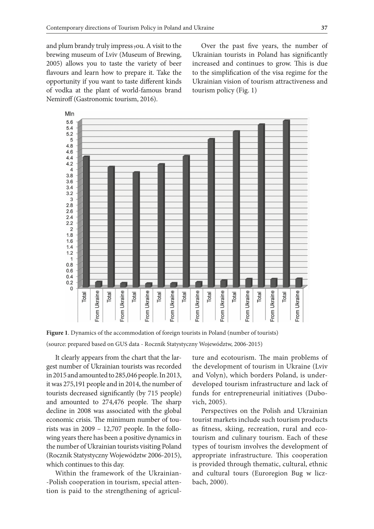and plum brandy truly impress you. A visit to the brewing museum of Lviv (Museum of Brewing, 2005) allows you to taste the variety of beer flavours and learn how to prepare it. Take the opportunity if you want to taste different kinds of vodka at the plant of world-famous brand Nemiroff (Gastronomic tourism, 2016).

Over the past five years, the number of Ukrainian tourists in Poland has significantly increased and continues to grow. This is due to the simplification of the visa regime for the Ukrainian vision of tourism attractiveness and tourism policy (Fig. 1)



**Figure 1**. Dynamics of the accommodation of foreign tourists in Poland (number of tourists) (source: prepared based on GUS data - Rocznik Statystyczny Województw, 2006-2015)

It clearly appears from the chart that the largest number of Ukrainian tourists was recorded in 2015 and amounted to 285,046 people. In 2013, it was 275,191 people and in 2014, the number of tourists decreased significantly (by 715 people) and amounted to 274,476 people. The sharp decline in 2008 was associated with the global economic crisis. The minimum number of tourists was in 2009 – 12,707 people. In the following years there has been a positive dynamics in the number of Ukrainian tourists visiting Poland (Rocznik Statystyczny Województw 2006-2015), which continues to this day.

Within the framework of the Ukrainian- -Polish cooperation in tourism, special attention is paid to the strengthening of agricul-

ture and ecotourism. The main problems of the development of tourism in Ukraine (Lviv and Volyn), which borders Poland, is underdeveloped tourism infrastructure and lack of funds for entrepreneurial initiatives (Dubovich, 2005).

Perspectives on the Polish and Ukrainian tourist markets include such tourism products as fitness, skiing, recreation, rural and ecotourism and culinary tourism. Each of these types of tourism involves the development of appropriate infrastructure. This cooperation is provided through thematic, cultural, ethnic and cultural tours (Euroregion Bug w liczbach, 2000).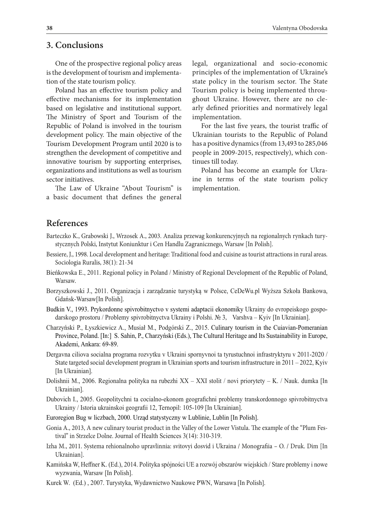### **3. Conclusions**

One of the prospective regional policy areas is the development of tourism and implementation of the state tourism policy.

Poland has an effective tourism policy and effective mechanisms for its implementation based on legislative and institutional support. The Ministry of Sport and Tourism of the Republic of Poland is involved in the tourism development policy. The main objective of the Tourism Development Program until 2020 is to strengthen the development of competitive and innovative tourism by supporting enterprises, organizations and institutions as well as tourism sector initiatives.

The Law of Ukraine "About Tourism" is a basic document that defines the general legal, organizational and socio-economic principles of the implementation of Ukraine's state policy in the tourism sector. The State Tourism policy is being implemented throughout Ukraine. However, there are no clearly defined priorities and normatively legal implementation.

For the last five years, the tourist traffic of Ukrainian tourists to the Republic of Poland has a positive dynamics (from 13,493 to 285,046 people in 2009-2015, respectively), which continues till today.

Poland has become an example for Ukraine in terms of the state tourism policy implementation.

# **References**

- Barteczko K., Grabowski J., Wrzosek A., 2003. Analiza przewag konkurencyjnych na regionalnych rynkach turystycznych Polski, Instytut Koniunktur i Cen Handlu Zagranicznego, Warsaw [In Polish].
- Bessiere, J., 1998. Local development and heritage: Traditional food and cuisine as tourist attractions in rural areas. Sociologia Ruralis, 38(1): 21-34
- Bieńkowska E., 2011. Regional policy in Poland / Ministry of Regional Development of the Republic of Poland, Warsaw.
- Borzyszkowski J., 2011. Organizacja i zarządzanie turystyką w Polsce, CeDeWu.pl Wyższa Szkoła Bankowa, Gdańsk-Warsaw[In Polish].
- Budkin V., 1993. Prykordonne spivrobitnyctvo v systemi adaptacii ekonomiky Ukrainy do evropeiskogo gospodarskogo prostoru / Problemy spivrobitnyctva Ukrainy i Polshi. № 3, Varshva – Kyiv [In Ukrainian].
- Charzyński P., Łyszkiewicz A., Musiał M., Podgórski Z., 2015. Culinary tourism in the Cuiavian-Pomeranian Province, Poland. [In:] S. Sahin, P., Charzyński (Eds.), The Cultural Heritage and Its Sustainability in Europe, Akademi, Ankara: 69-89.
- Dergavna ciliova socialna programa rozvytku v Ukraini spornyvnoi ta tyrustuchnoi infrastryktyru v 2011-2020 / State targeted social development program in Ukrainian sports and tourism infrastructure in 2011 – 2022, Kyiv [In Ukrainian].
- Dolishnii M., 2006. Regionalna polityka na rubezhi XX XXI stolit / novi priorytety K. / Nauk. dumka [In Ukrainian].
- Dubovich І., 2005. Geopolitychni ta cocialno-ekonom geografichni problemy transkordonnogo spivrobitnyctva Ukrainy / Istoria ukrainskoi geografii 12, Ternopil: 105-109 [In Ukrainian].
- Euroregion Bug w liczbach, 2000. Urząd statystyczny w Lublinie, Lublin [In Polish].
- Gonia A., 2013, A new culinary tourist product in the Valley of the Lower Vistula. The example of the "Plum Festival" in Strzelce Dolne. Journal of Health Sciences 3(14): 310-319.
- Izha M., 2011. Systema rehionalnoho upravlinnia: svitovyi dosvid i Ukraina / Monografiia O. / Druk. Dim [In Ukrainian].
- Kamińska W, Heffner K. (Ed.), 2014. Polityka spójności UE a rozwój obszarów wiejskich / Stare problemy i nowe wyzwania, Warsaw [In Polish].
- Kurek W. (Ed.) , 2007. Turystyka, Wydawnictwo Naukowe PWN, Warsawa [In Polish].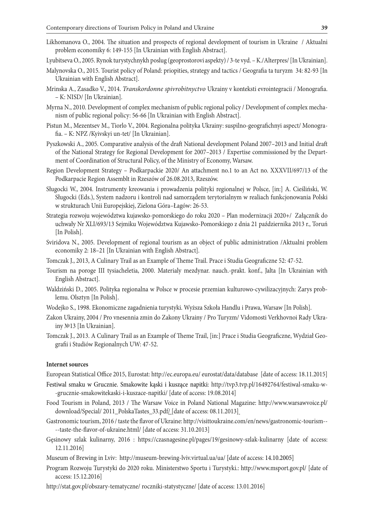- Likhomanova O., 2004. The situation and prospects of regional development of tourism in Ukraine / Aktualni problem economiky 6: 149-155 [In Ukrainian with English Abstract].
- Lyubitseva O., 2005. Rynok turystychnykh poslug (geoprostorovi aspekty) / 3-te vyd. K./Alterpres/ [In Ukrainian].
- Malynovska O., 2015. Tourist policy of Poland: priopities, strategy and tactics / Geografia ta turyzm 34: 82-93 [In Ukrainian with English Abstract].
- Mrinska A., Zasadko V., 2014. *Transkordonne spivrobitnyctvo* Ukrainy v konteksti evrointegracii / Monografia. – K: NISD/ [In Ukrainian].
- Myrna N., 2010. Development of complex mechanism of public regional policy / Development of complex mechanism of public regional policy: 56-66 [In Ukrainian with English Abstract].
- Pistun M., Mezentsev M., Tiorlo V., 2004. Regionalna polityka Ukrainy: suspilno-geografichnyi aspect/ Monografia. – K: NPZ /Kyivskyi un-tet/ [In Ukrainian].
- Pyszkowski A., 2005. Comparative analysis of the draft National development Pоland 2007–2013 and Initial draft of the National Strategy for Regional Development for 2007–2013 / Expertise commissioned by the Department of Coordination of Structural Policy, of the Ministry of Economy, Warsaw.
- Region Development Strategy Podkarpackie 2020/ An attachment no.1 to an Act no. XXXVII/697/13 of the Podkarpacie Region Assemblt in Rzeszów of 26.08.2013, Rzeszów.
- Sługocki W., 2004. Instrumenty kreowania i prowadzenia polityki regionalnej w Polsce, [in:] A. Cieśliński, W. Sługocki (Eds.), System nadzoru i kontroli nad samorządem terytorialnym w realiach funkcjonowania Polski w strukturach Unii Europejskiej, Zielona Góra–Łagów: 26-53.
- Strategia rozwoju województwa kujawsko-pomorskiego do roku 2020 Plan modernizacji 2020+/ Załącznik do uchwały Nr XLI/693/13 Sejmiku Województwa Kujawsko-Pomorskiego z dnia 21 października 2013 r., Toruń [In Polish].
- Sviridova N., 2005. Development of regional tourism as an object of public administration /Aktualni problem economiky 2: 18–21 [In Ukrainian with English Abstract].
- Tomczak J., 2013, A Culinary Trail as an Example of Theme Trail. Prace i Studia Geograficzne 52: 47-52.
- Tourism na poroge III tysiacheletia, 2000. Materialy mezdynar. nauch.-prakt. konf., Jalta [In Ukrainian with English Abstract].
- Waldziński D., 2005. Polityka regionalna w Polsce w procesie przemian kulturowo-cywilizacyjnych: Zarys problemu. Olsztyn [In Polish].
- Wodejko S., 1998. Ekonomiczne zagadnienia turystyki. Wyższa Szkoła Handlu i Prawa, Warsaw [In Polish].
- Zakon Ukrainy, 2004 / Pro vnesennia zmin do Zakony Ukrainy / Pro Turyzm/ Vidomosti Verkhovnoi Rady Ukrainy №13 [In Ukrainian].
- Tomczak J., 2013. A Culinary Trail as an Example of Theme Trail, [in:] Prace i Studia Geograficzne, Wydział Geografii i Studiów Regionalnych UW: 47-52.

#### **Internet sources**

European Statistical Office 2015, Eurostat: http://ec.europa.eu/ eurostat/data/database [date of access: 18.11.2015]

- Festiwal smaku w Grucznie. Smakowite kąski i kuszące napitki: http://tvp3.tvp.pl/16492764/festiwal-smaku-w- -grucznie-smakowitekaski-i-kuszace-napitki/ [date of access: 19.08.2014]
- Food Tourism in Poland, 2013 / The Warsaw Voice in Poland National Magazine: http://www.warsawvoice.pl/ download/Special/ 2011\_PolskaTastes\_33.pdf/ [date of access: 08.11.2013]
- Gastronomic tourism, 2016 / taste the flavor of Ukraine: http://visittoukraine.com/en/news/gastronomic-tourism-- --taste-the-flavor-of-ukraine.html/ [date of access: 31.10.2013]
- Gęsinowy szlak kulinarny, 2016 : https://czasnagesine.pl/pages/19/gesinowy-szlak-kulinarny [date of access: 12.11.2016]
- Museum of Brewing in Lviv: http://museum-brewing-lviv.virtual.ua/ua/ [date of access: 14.10.2005]
- Program Rozwoju Turystyki do 2020 roku. Ministerstwo Sportu i Turystyki.: http://www.msport.gov.pl/ [date of access: 15.12.2016]
- http://stat.gov.pl/obszary-tematyczne/ roczniki-statystyczne/ [date of access: 13.01.2016]